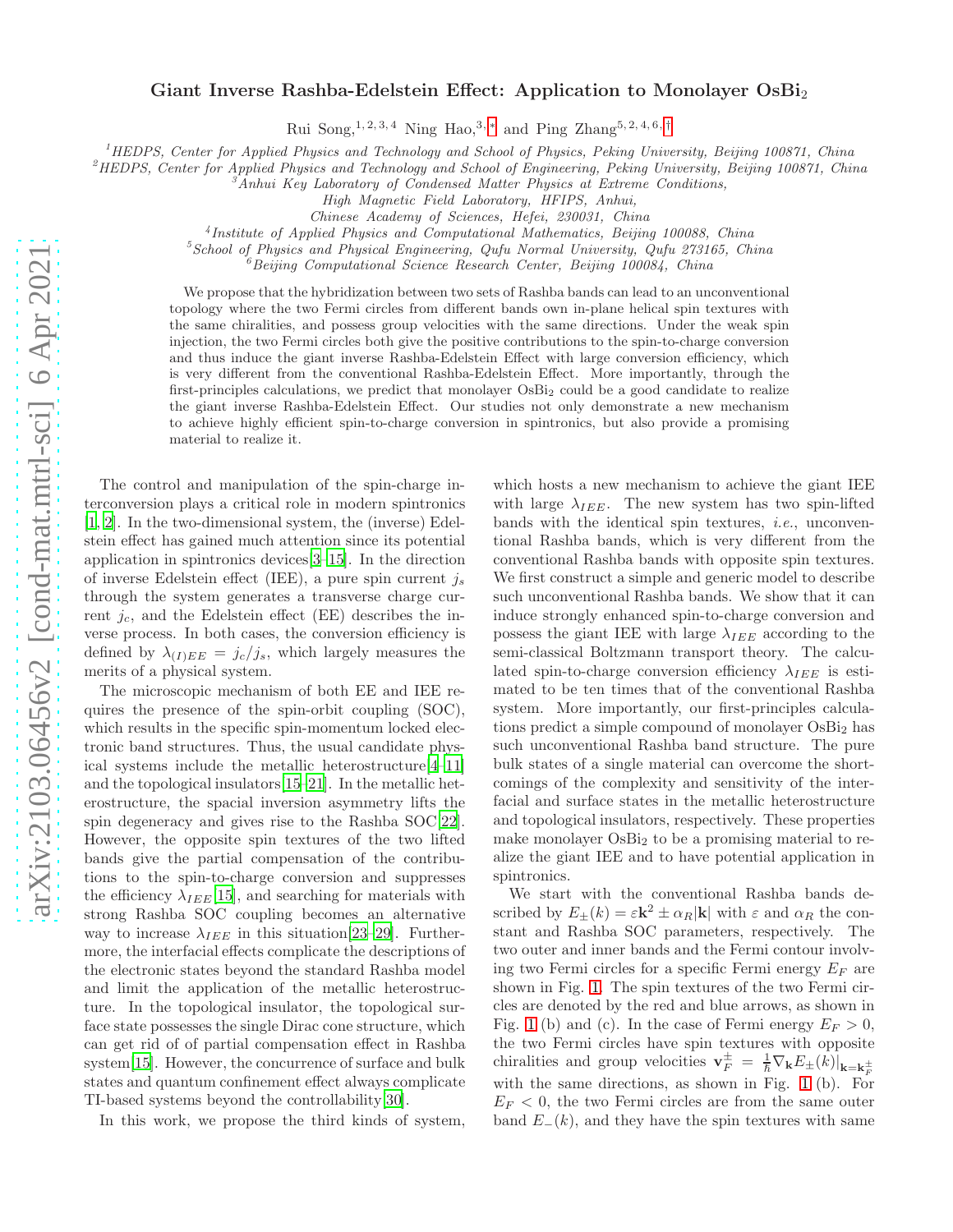## Giant Inverse Rashba-Edelstein Effect: Application to Monolayer OsBi<sub>2</sub>

Rui Song,<sup>1, 2, 3, 4</sup> Ning Hao,<sup>3, \*</sup> and Ping Zhang<sup>5, 2, 4, 6, [†](#page-4-1)</sup>

 $1<sup>1</sup>$ HEDPS, Center for Applied Physics and Technology and School of Physics, Peking University, Beijing 100871, China

 ${}^{2}$ HEDPS, Center for Applied Physics and Technology and School of Engineering, Peking University, Beijing 100871, China

 ${}^3$ Anhui Key Laboratory of Condensed Matter Physics at Extreme Conditions,

High Magnetic Field Laboratory, HFIPS, Anhui,

Chinese Academy of Sciences, Hefei, 230031, China

4 Institute of Applied Physics and Computational Mathematics, Beijing 100088, China

 $5$ School of Physics and Physical Engineering, Qufu Normal University, Qufu 273165, China

 ${}^6$ Beijing Computational Science Research Center, Beijing 100084, China

We propose that the hybridization between two sets of Rashba bands can lead to an unconventional topology where the two Fermi circles from different bands own in-plane helical spin textures with the same chiralities, and possess group velocities with the same directions. Under the weak spin injection, the two Fermi circles both give the positive contributions to the spin-to-charge conversion and thus induce the giant inverse Rashba-Edelstein Effect with large conversion efficiency, which is very different from the conventional Rashba-Edelstein Effect. More importantly, through the first-principles calculations, we predict that monolayer OsBi<sub>2</sub> could be a good candidate to realize the giant inverse Rashba-Edelstein Effect. Our studies not only demonstrate a new mechanism to achieve highly efficient spin-to-charge conversion in spintronics, but also provide a promising material to realize it.

The control and manipulation of the spin-charge interconversion plays a critical role in modern spintronics [\[1,](#page-4-2) [2](#page-4-3)]. In the two-dimensional system, the (inverse) Edelstein effect has gained much attention since its potential application in spintronics devices[\[3](#page-4-4)[–15\]](#page-4-5). In the direction of inverse Edelstein effect (IEE), a pure spin current  $i_s$ through the system generates a transverse charge current  $j_c$ , and the Edelstein effect (EE) describes the inverse process. In both cases, the conversion efficiency is defined by  $\lambda_{(I)EE} = j_c/j_s$ , which largely measures the merits of a physical system.

The microscopic mechanism of both EE and IEE requires the presence of the spin-orbit coupling (SOC), which results in the specific spin-momentum locked electronic band structures. Thus, the usual candidate physical systems include the metallic heterostructure[\[4](#page-4-6)[–11\]](#page-4-7) and the topological insulators[\[15](#page-4-5)[–21](#page-4-8)]. In the metallic heterostructure, the spacial inversion asymmetry lifts the spin degeneracy and gives rise to the Rashba SOC[\[22\]](#page-4-9). However, the opposite spin textures of the two lifted bands give the partial compensation of the contributions to the spin-to-charge conversion and suppresses the efficiency  $\lambda_{IEE}[15]$  $\lambda_{IEE}[15]$ , and searching for materials with strong Rashba SOC coupling becomes an alternative way to increase  $\lambda_{IEEE}$  in this situation [\[23](#page-4-10)[–29](#page-4-11)]. Furthermore, the interfacial effects complicate the descriptions of the electronic states beyond the standard Rashba model and limit the application of the metallic heterostructure. In the topological insulator, the topological surface state possesses the single Dirac cone structure, which can get rid of of partial compensation effect in Rashba system[\[15\]](#page-4-5). However, the concurrence of surface and bulk states and quantum confinement effect always complicate TI-based systems beyond the controllability[\[30\]](#page-4-12).

In this work, we propose the third kinds of system,

which hosts a new mechanism to achieve the giant IEE with large  $\lambda_{IEEE}$ . The new system has two spin-lifted bands with the identical spin textures, i.e., unconventional Rashba bands, which is very different from the conventional Rashba bands with opposite spin textures. We first construct a simple and generic model to describe such unconventional Rashba bands. We show that it can induce strongly enhanced spin-to-charge conversion and possess the giant IEE with large  $\lambda_{IEE}$  according to the semi-classical Boltzmann transport theory. The calculated spin-to-charge conversion efficiency  $\lambda_{IEE}$  is estimated to be ten times that of the conventional Rashba system. More importantly, our first-principles calculations predict a simple compound of monolayer OsBi<sub>2</sub> has such unconventional Rashba band structure. The pure bulk states of a single material can overcome the shortcomings of the complexity and sensitivity of the interfacial and surface states in the metallic heterostructure and topological insulators, respectively. These properties make monolayer  $OsBi<sub>2</sub>$  to be a promising material to realize the giant IEE and to have potential application in spintronics.

We start with the conventional Rashba bands described by  $E_{\pm}(k) = \varepsilon \mathbf{k}^2 \pm \alpha_R |\mathbf{k}|$  with  $\varepsilon$  and  $\alpha_R$  the constant and Rashba SOC parameters, respectively. The two outer and inner bands and the Fermi contour involving two Fermi circles for a specific Fermi energy  $E_F$  are shown in Fig. [1.](#page-1-0) The spin textures of the two Fermi circles are denoted by the red and blue arrows, as shown in Fig. [1](#page-1-0) (b) and (c). In the case of Fermi energy  $E_F > 0$ , the two Fermi circles have spin textures with opposite chiralities and group velocities  $\mathbf{v}_F^{\pm} = \frac{1}{\hbar} \nabla_{\mathbf{k}} E_{\pm}(k)|_{\mathbf{k}=\mathbf{k}_F^{\pm}}$ with the same directions, as shown in Fig. [1](#page-1-0) (b). For  $E_F < 0$ , the two Fermi circles are from the same outer band  $E_-(k)$ , and they have the spin textures with same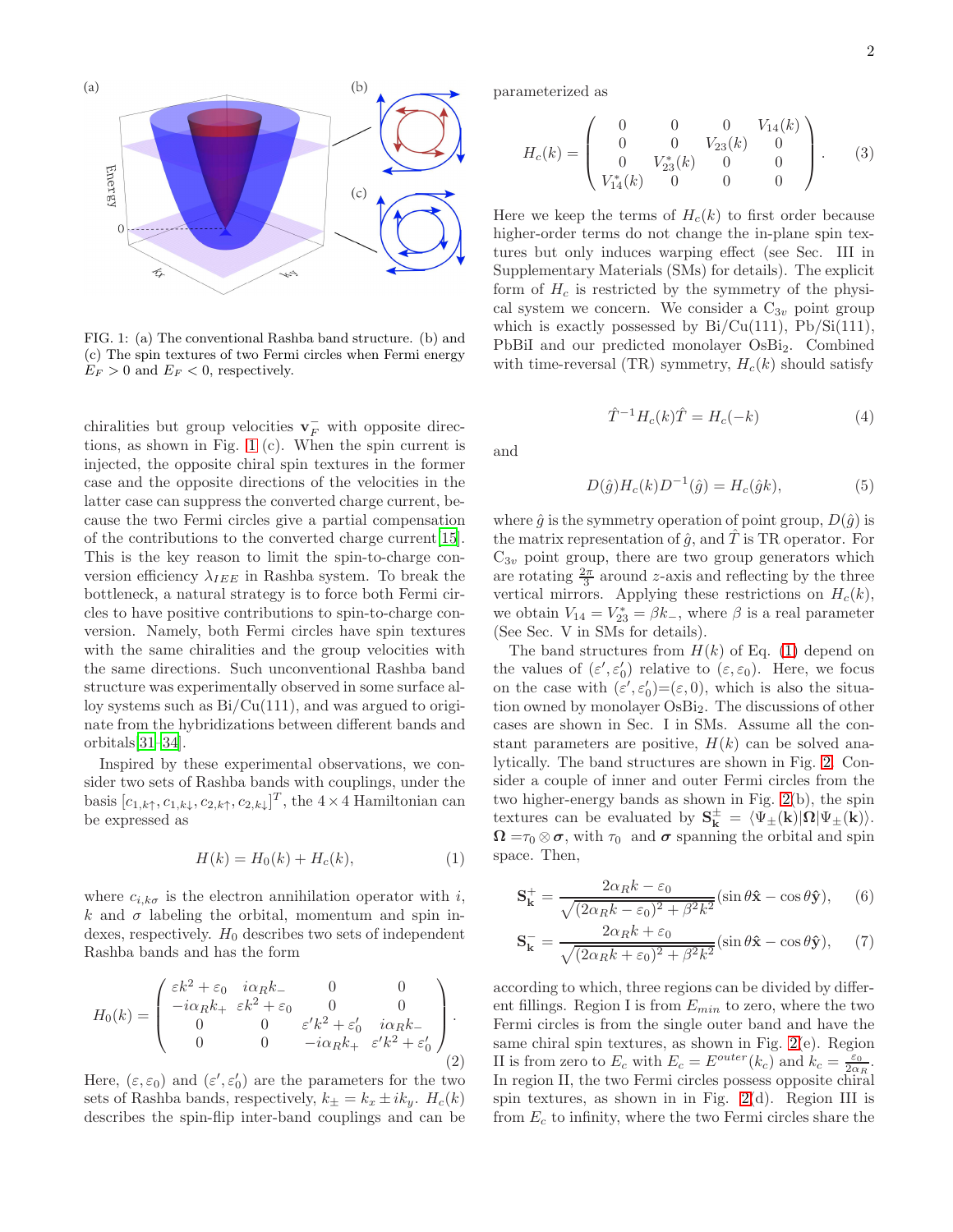

<span id="page-1-0"></span>FIG. 1: (a) The conventional Rashba band structure. (b) and (c) The spin textures of two Fermi circles when Fermi energy  $E_F > 0$  and  $E_F < 0$ , respectively.

chiralities but group velocities  $\mathbf{v}_F^-$  with opposite directions, as shown in Fig. [1](#page-1-0) (c). When the spin current is injected, the opposite chiral spin textures in the former case and the opposite directions of the velocities in the latter case can suppress the converted charge current, because the two Fermi circles give a partial compensation of the contributions to the converted charge current[\[15\]](#page-4-5). This is the key reason to limit the spin-to-charge conversion efficiency  $\lambda_{IEEE}$  in Rashba system. To break the bottleneck, a natural strategy is to force both Fermi circles to have positive contributions to spin-to-charge conversion. Namely, both Fermi circles have spin textures with the same chiralities and the group velocities with the same directions. Such unconventional Rashba band structure was experimentally observed in some surface alloy systems such as  $Bi/Cu(111)$ , and was argued to originate from the hybridizations between different bands and orbitals[\[31–](#page-4-13)[34\]](#page-5-0).

Inspired by these experimental observations, we consider two sets of Rashba bands with couplings, under the basis  $[c_{1,k\uparrow}, c_{1,k\downarrow}, c_{2,k\uparrow}, c_{2,k\downarrow}]^T$ , the  $4 \times 4$  Hamiltonian can be expressed as

<span id="page-1-1"></span>
$$
H(k) = H_0(k) + H_c(k),
$$
 (1)

where  $c_{i,k\sigma}$  is the electron annihilation operator with i, k and  $\sigma$  labeling the orbital, momentum and spin indexes, respectively.  $H_0$  describes two sets of independent Rashba bands and has the form

$$
H_0(k) = \begin{pmatrix} \varepsilon k^2 + \varepsilon_0 & i\alpha_R k_- & 0 & 0 \\ -i\alpha_R k_+ & \varepsilon k^2 + \varepsilon_0 & 0 & 0 \\ 0 & 0 & \varepsilon' k^2 + \varepsilon'_0 & i\alpha_R k_- \\ 0 & 0 & -i\alpha_R k_+ & \varepsilon' k^2 + \varepsilon'_0 \end{pmatrix} .
$$
 (2)

Here,  $(\varepsilon, \varepsilon_0)$  and  $(\varepsilon', \varepsilon'_0)$  are the parameters for the two sets of Rashba bands, respectively,  $k_{\pm} = k_x \pm ik_y$ .  $H_c(k)$ describes the spin-flip inter-band couplings and can be parameterized as

$$
H_c(k) = \begin{pmatrix} 0 & 0 & 0 & V_{14}(k) \\ 0 & 0 & V_{23}(k) & 0 \\ 0 & V_{23}^*(k) & 0 & 0 \\ V_{14}^*(k) & 0 & 0 & 0 \end{pmatrix}.
$$
 (3)

Here we keep the terms of  $H_c(k)$  to first order because higher-order terms do not change the in-plane spin textures but only induces warping effect (see Sec. III in Supplementary Materials (SMs) for details). The explicit form of  $H_c$  is restricted by the symmetry of the physical system we concern. We consider a  $C_{3v}$  point group which is exactly possessed by  $Bi/Cu(111)$ ,  $Pb/Si(111)$ , PbBiI and our predicted monolayer OsBi<sub>2</sub>. Combined with time-reversal (TR) symmetry,  $H_c(k)$  should satisfy

$$
\hat{T}^{-1}H_c(k)\hat{T} = H_c(-k)
$$
 (4)

and

$$
D(\hat{g})H_c(k)D^{-1}(\hat{g}) = H_c(\hat{g}k),\tag{5}
$$

where  $\hat{g}$  is the symmetry operation of point group,  $D(\hat{g})$  is the matrix representation of  $\hat{g}$ , and  $\hat{T}$  is TR operator. For  $C_{3v}$  point group, there are two group generators which are rotating  $\frac{2\pi}{3}$  around z-axis and reflecting by the three vertical mirrors. Applying these restrictions on  $H_c(k)$ , we obtain  $V_{14} = V_{23}^* = \beta k_-,$  where  $\beta$  is a real parameter (See Sec. V in SMs for details).

The band structures from  $H(k)$  of Eq. [\(1\)](#page-1-1) depend on the values of  $(\varepsilon', \varepsilon'_0)$  relative to  $(\varepsilon, \varepsilon_0)$ . Here, we focus on the case with  $(\varepsilon', \varepsilon'_0) = (\varepsilon, 0)$ , which is also the situation owned by monolayer OsBi2. The discussions of other cases are shown in Sec. I in SMs. Assume all the constant parameters are positive,  $H(k)$  can be solved analytically. The band structures are shown in Fig. [2.](#page-2-0) Consider a couple of inner and outer Fermi circles from the two higher-energy bands as shown in Fig. [2\(](#page-2-0)b), the spin textures can be evaluated by  $S_{k}^{\pm} = \langle \Psi_{\pm}(k)|\Omega|\Psi_{\pm}(k)\rangle.$  $\Omega = \tau_0 \otimes \sigma$ , with  $\tau_0$  and  $\sigma$  spanning the orbital and spin space. Then,

<span id="page-1-2"></span>
$$
\mathbf{S}_{\mathbf{k}}^{+} = \frac{2\alpha_{R}k - \varepsilon_{0}}{\sqrt{(2\alpha_{R}k - \varepsilon_{0})^{2} + \beta^{2}k^{2}}} (\sin \theta \hat{\mathbf{x}} - \cos \theta \hat{\mathbf{y}}), \quad (6)
$$

<span id="page-1-3"></span>
$$
\mathbf{S}_{\mathbf{k}}^{-} = \frac{2\alpha_{R}k + \varepsilon_{0}}{\sqrt{(2\alpha_{R}k + \varepsilon_{0})^{2} + \beta^{2}k^{2}}} (\sin \theta \hat{\mathbf{x}} - \cos \theta \hat{\mathbf{y}}), \quad (7)
$$

according to which, three regions can be divided by different fillings. Region I is from  $E_{min}$  to zero, where the two Fermi circles is from the single outer band and have the same chiral spin textures, as shown in Fig. [2\(](#page-2-0)e). Region II is from zero to  $E_c$  with  $E_c = E^{outer}(k_c)$  and  $k_c = \frac{\varepsilon_0}{2\alpha_R}$ . In region II, the two Fermi circles possess opposite chiral spin textures, as shown in in Fig.  $2(d)$  $2(d)$ . Region III is from  $E_c$  to infinity, where the two Fermi circles share the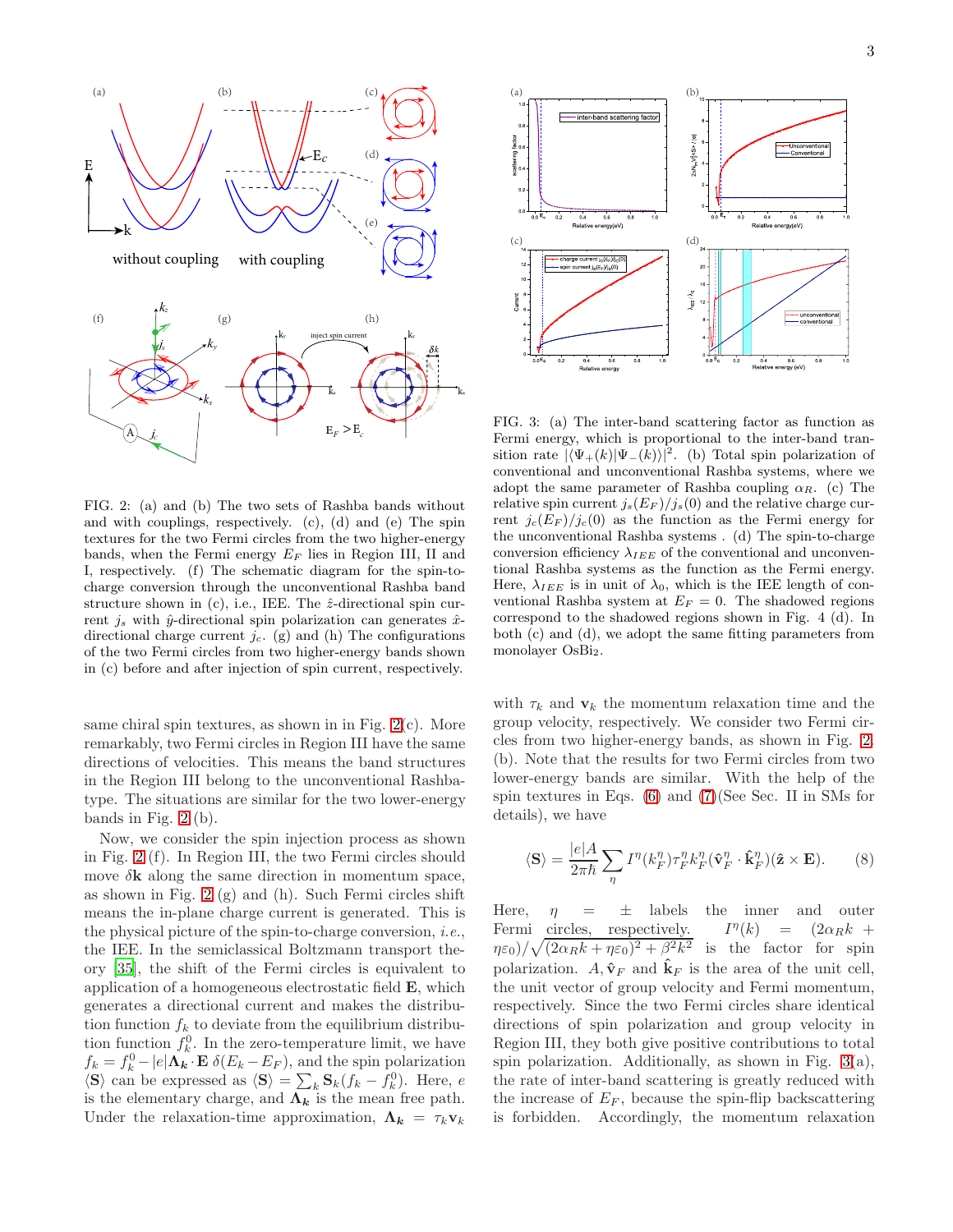$\overline{E}$  $\mathbf{k}$ without coupling with coupling *c* k. k, k, *k*  $E_F$   $>E_c$ inject spin current *jS kx ky kz*  $A\diagdown J_c$ (a)  $(b)$   $(c)$ (d) (e) (f)  $(g)$  (h)

k.

<span id="page-2-0"></span>FIG. 2: (a) and (b) The two sets of Rashba bands without and with couplings, respectively. (c), (d) and (e) The spin textures for the two Fermi circles from the two higher-energy bands, when the Fermi energy  $E_F$  lies in Region III, II and I, respectively. (f) The schematic diagram for the spin-tocharge conversion through the unconventional Rashba band structure shown in  $(c)$ , i.e., IEE. The  $\hat{z}$ -directional spin current  $j_s$  with  $\hat{y}$ -directional spin polarization can generates  $\hat{x}$ directional charge current  $j_c$ . (g) and (h) The configurations of the two Fermi circles from two higher-energy bands shown in (c) before and after injection of spin current, respectively.

same chiral spin textures, as shown in in Fig. [2\(](#page-2-0)c). More remarkably, two Fermi circles in Region III have the same directions of velocities. This means the band structures in the Region III belong to the unconventional Rashbatype. The situations are similar for the two lower-energy bands in Fig. [2](#page-2-0) (b).

Now, we consider the spin injection process as shown in Fig. [2](#page-2-0) (f). In Region III, the two Fermi circles should move  $\delta$ **k** along the same direction in momentum space, as shown in Fig. [2](#page-2-0)  $(g)$  and  $(h)$ . Such Fermi circles shift means the in-plane charge current is generated. This is the physical picture of the spin-to-charge conversion, i.e., the IEE. In the semiclassical Boltzmann transport theory [\[35\]](#page-5-1), the shift of the Fermi circles is equivalent to application of a homogeneous electrostatic field E, which generates a directional current and makes the distribution function  $f_k$  to deviate from the equilibrium distribution function  $f_k^0$ . In the zero-temperature limit, we have  $f_k = f_k^0 - |e| \Lambda_k \cdot \mathbf{E} \delta(E_k - E_F)$ , and the spin polarization  $\langle \mathbf{S} \rangle$  can be expressed as  $\langle \mathbf{S} \rangle = \sum_k \mathbf{S}_k (f_k - f_k^0)$ . Here, e is the elementary charge, and  $\Lambda_k$  is the mean free path. Under the relaxation-time approximation,  $\Lambda_k = \tau_k v_k$ 



<span id="page-2-1"></span>FIG. 3: (a) The inter-band scattering factor as function as Fermi energy, which is proportional to the inter-band transition rate  $|\langle \Psi_+(k)|\Psi_-(k)\rangle|^2$ . (b) Total spin polarization of conventional and unconventional Rashba systems, where we adopt the same parameter of Rashba coupling  $\alpha_R$ . (c) The relative spin current  $j_s(E_F)/j_s(0)$  and the relative charge current  $j_c(E_F)/j_c(0)$  as the function as the Fermi energy for the unconventional Rashba systems . (d) The spin-to-charge conversion efficiency  $\lambda_{IEEE}$  of the conventional and unconventional Rashba systems as the function as the Fermi energy. Here,  $\lambda_{IEEE}$  is in unit of  $\lambda_0$ , which is the IEE length of conventional Rashba system at  $E_F = 0$ . The shadowed regions correspond to the shadowed regions shown in Fig. 4 (d). In both (c) and (d), we adopt the same fitting parameters from monolayer OsBi<sub>2</sub>.

with  $\tau_k$  and  $\mathbf{v}_k$  the momentum relaxation time and the group velocity, respectively. We consider two Fermi circles from two higher-energy bands, as shown in Fig. [2.](#page-2-0) (b). Note that the results for two Fermi circles from two lower-energy bands are similar. With the help of the spin textures in Eqs. [\(6\)](#page-1-2) and [\(7\)](#page-1-3)(See Sec. II in SMs for details), we have

<span id="page-2-2"></span>
$$
\langle \mathbf{S} \rangle = \frac{|e|A}{2\pi\hbar} \sum_{\eta} I^{\eta}(k_F^{\eta}) \tau_F^{\eta} k_F^{\eta} (\hat{\mathbf{v}}_F^{\eta} \cdot \hat{\mathbf{k}}_F^{\eta})(\hat{\mathbf{z}} \times \mathbf{E}). \tag{8}
$$

Here,  $\eta = \pm$  labels the inner and outer Fermi circles, respectively.  $I^{\eta}(k)$  $= (2\alpha_R k + )$  $(\eta \varepsilon_0)/\sqrt{(2\alpha_R k + \eta \varepsilon_0)^2 + \beta^2 k^2}$  is the factor for spin polarization.  $A, \hat{v}_F$  and  $\hat{k}_F$  is the area of the unit cell, the unit vector of group velocity and Fermi momentum, respectively. Since the two Fermi circles share identical directions of spin polarization and group velocity in Region III, they both give positive contributions to total spin polarization. Additionally, as shown in Fig.  $3(a)$  $3(a)$ , the rate of inter-band scattering is greatly reduced with the increase of  $E_F$ , because the spin-flip backscattering is forbidden. Accordingly, the momentum relaxation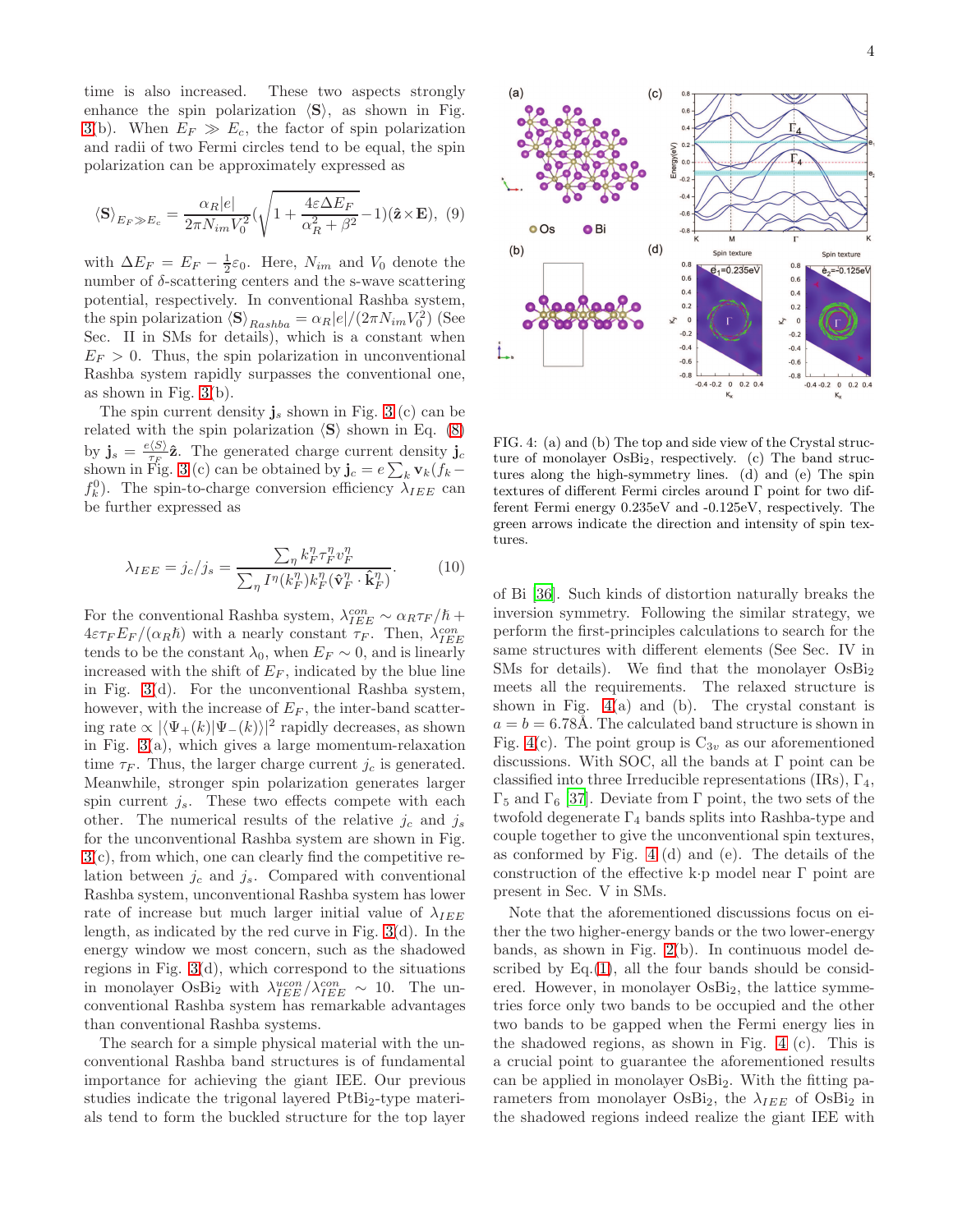time is also increased. These two aspects strongly enhance the spin polarization  $\langle S \rangle$ , as shown in Fig. [3\(](#page-2-1)b). When  $E_F \gg E_c$ , the factor of spin polarization and radii of two Fermi circles tend to be equal, the spin polarization can be approximately expressed as

$$
\langle \mathbf{S} \rangle_{E_F \gg E_c} = \frac{\alpha_R |e|}{2\pi N_{im} V_0^2} (\sqrt{1 + \frac{4\varepsilon \Delta E_F}{\alpha_R^2 + \beta^2}} - 1)(\hat{\mathbf{z}} \times \mathbf{E}), \tag{9}
$$

with  $\Delta E_F = E_F - \frac{1}{2}\varepsilon_0$ . Here,  $N_{im}$  and  $V_0$  denote the number of δ-scattering centers and the s-wave scattering potential, respectively. In conventional Rashba system, the spin polarization  $\langle \mathbf{S} \rangle_{Rashba} = \alpha_R |e|/(2\pi N_{im}V_0^2)$  (See Sec. II in SMs for details), which is a constant when  $E_F > 0$ . Thus, the spin polarization in unconventional Rashba system rapidly surpasses the conventional one, as shown in Fig.  $3(b)$  $3(b)$ .

The spin current density  $\mathbf{j}_s$  shown in Fig. [3](#page-2-1) (c) can be related with the spin polarization  $\langle S \rangle$  shown in Eq. [\(8\)](#page-2-2) by  $\mathbf{j}_s = \frac{e \langle S \rangle}{\tau_F}$  $\hat{\tau}_F(\Sigma)$ **2**. The generated charge current density  $\mathbf{j}_c$ shown in Fig. [3](#page-2-1) (c) can be obtained by  $\mathbf{j}_c = e \sum_k \mathbf{v}_k (f_k$  $f_k^0$ ). The spin-to-charge conversion efficiency  $\lambda_{IEEE}$  can be further expressed as

$$
\lambda_{IEEE} = j_c/j_s = \frac{\sum_{\eta} k_F^{\eta} \tau_F^{\eta} v_F^{\eta}}{\sum_{\eta} I^{\eta} (k_F^{\eta}) k_F^{\eta} (\hat{\mathbf{v}}_F^{\eta} \cdot \hat{\mathbf{k}}_F^{\eta})}.
$$
(10)

For the conventional Rashba system,  $\lambda_{IEE}^{con} \sim \alpha_R \tau_F / \hbar +$  $4\varepsilon\tau$ <sub>F</sub> $E_F/(\alpha_R\hbar)$  with a nearly constant  $\tau_F$ . Then,  $\lambda_{IEEE}^{con}$ tends to be the constant  $\lambda_0$ , when  $E_F \sim 0$ , and is linearly increased with the shift of  $E_F$ , indicated by the blue line in Fig. [3\(](#page-2-1)d). For the unconventional Rashba system, however, with the increase of  $E_F$ , the inter-band scattering rate  $\propto |\langle \Psi_+(k)|\Psi_-(k)\rangle|^2$  rapidly decreases, as shown in Fig.  $3(a)$  $3(a)$ , which gives a large momentum-relaxation time  $\tau_F$ . Thus, the larger charge current  $j_c$  is generated. Meanwhile, stronger spin polarization generates larger spin current  $j_s$ . These two effects compete with each other. The numerical results of the relative  $j_c$  and  $j_s$ for the unconventional Rashba system are shown in Fig. [3\(](#page-2-1)c), from which, one can clearly find the competitive relation between  $j_c$  and  $j_s$ . Compared with conventional Rashba system, unconventional Rashba system has lower rate of increase but much larger initial value of  $\lambda_{IEE}$ length, as indicated by the red curve in Fig. [3\(](#page-2-1)d). In the energy window we most concern, such as the shadowed regions in Fig. [3\(](#page-2-1)d), which correspond to the situations in monolayer OsBi<sub>2</sub> with  $\lambda_{IEEE}^{ucon}/\lambda_{IEEE}^{con} \sim 10$ . The unconventional Rashba system has remarkable advantages than conventional Rashba systems.

The search for a simple physical material with the unconventional Rashba band structures is of fundamental importance for achieving the giant IEE. Our previous studies indicate the trigonal layered  $PtBi<sub>2</sub>$ -type materials tend to form the buckled structure for the top layer



<span id="page-3-0"></span>FIG. 4: (a) and (b) The top and side view of the Crystal structure of monolayer OsBi2, respectively. (c) The band structures along the high-symmetry lines. (d) and (e) The spin textures of different Fermi circles around Γ point for two different Fermi energy 0.235eV and -0.125eV, respectively. The green arrows indicate the direction and intensity of spin textures.

of Bi [\[36\]](#page-5-2). Such kinds of distortion naturally breaks the inversion symmetry. Following the similar strategy, we perform the first-principles calculations to search for the same structures with different elements (See Sec. IV in SMs for details). We find that the monolayer  $OsBi<sub>2</sub>$ meets all the requirements. The relaxed structure is shown in Fig. [4\(](#page-3-0)a) and (b). The crystal constant is  $a = b = 6.78\text{\AA}$ . The calculated band structure is shown in Fig. [4\(](#page-3-0)c). The point group is  $C_{3v}$  as our aforementioned discussions. With SOC, all the bands at  $\Gamma$  point can be classified into three Irreducible representations (IRs),  $\Gamma_4$ ,  $Γ_5$  and  $Γ_6$  [\[37\]](#page-5-3). Deviate from Γ point, the two sets of the twofold degenerate  $\Gamma_4$  bands splits into Rashba-type and couple together to give the unconventional spin textures, as conformed by Fig. [4](#page-3-0) (d) and (e). The details of the construction of the effective k·p model near Γ point are present in Sec. V in SMs.

Note that the aforementioned discussions focus on either the two higher-energy bands or the two lower-energy bands, as shown in Fig. [2\(](#page-2-0)b). In continuous model described by  $Eq.(1)$  $Eq.(1)$ , all the four bands should be considered. However, in monolayer  $OsBi<sub>2</sub>$ , the lattice symmetries force only two bands to be occupied and the other two bands to be gapped when the Fermi energy lies in the shadowed regions, as shown in Fig. [4](#page-3-0) (c). This is a crucial point to guarantee the aforementioned results can be applied in monolayer  $OsBi<sub>2</sub>$ . With the fitting parameters from monolayer OsBi<sub>2</sub>, the  $\lambda_{IEE}$  of OsBi<sub>2</sub> in the shadowed regions indeed realize the giant IEE with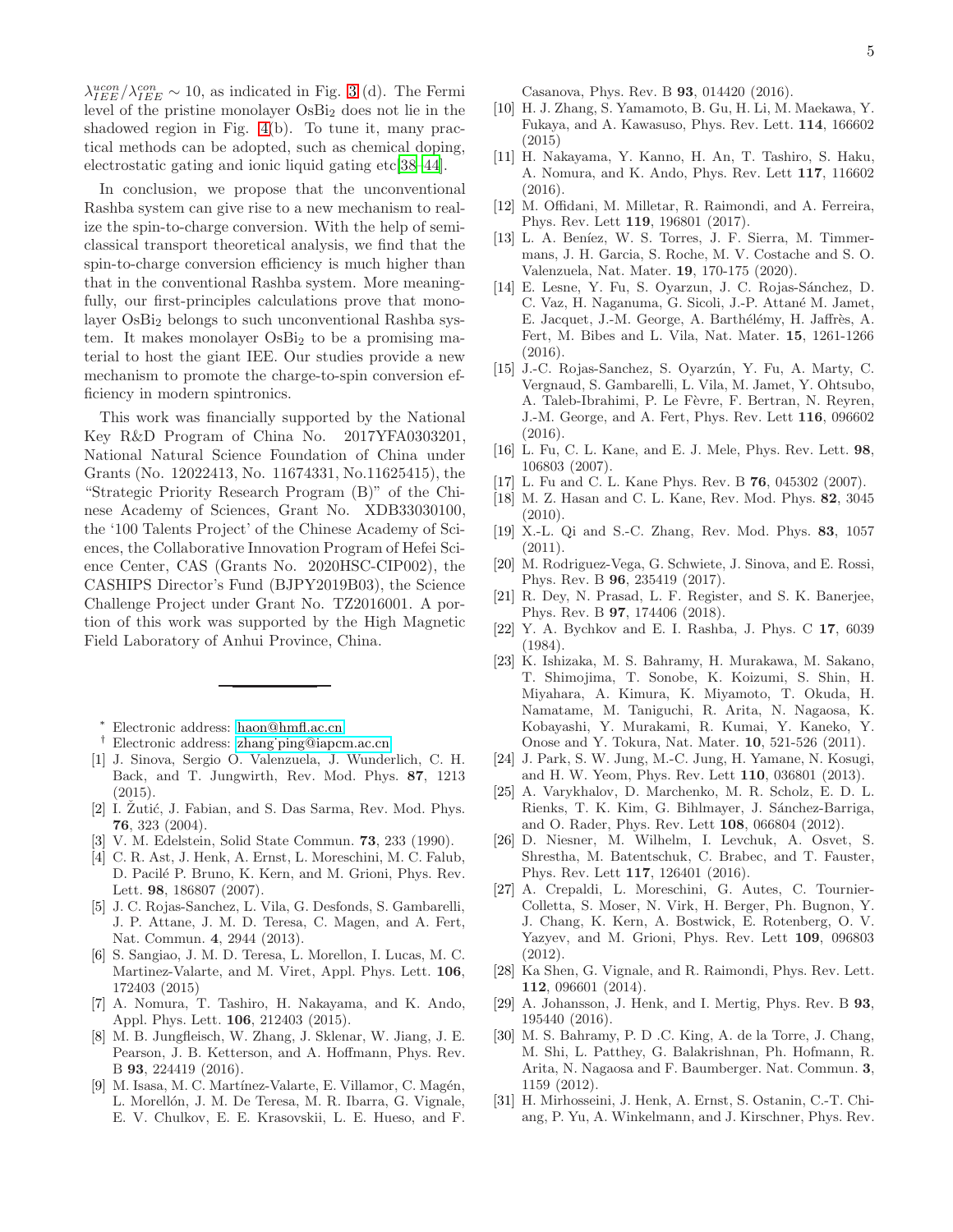$\lambda_{IEEE}^{ucon}/\lambda_{IEEE}^{con} \sim 10$ , as indicated in Fig. [3](#page-2-1) (d). The Fermi level of the pristine monolayer OsBi<sup>2</sup> does not lie in the shadowed region in Fig. [4\(](#page-3-0)b). To tune it, many practical methods can be adopted, such as chemical doping, electrostatic gating and ionic liquid gating etc[\[38–](#page-5-4)[44\]](#page-5-5).

In conclusion, we propose that the unconventional Rashba system can give rise to a new mechanism to realize the spin-to-charge conversion. With the help of semiclassical transport theoretical analysis, we find that the spin-to-charge conversion efficiency is much higher than that in the conventional Rashba system. More meaningfully, our first-principles calculations prove that monolayer OsBi<sub>2</sub> belongs to such unconventional Rashba system. It makes monolayer  $OsBi<sub>2</sub>$  to be a promising material to host the giant IEE. Our studies provide a new mechanism to promote the charge-to-spin conversion efficiency in modern spintronics.

This work was financially supported by the National Key R&D Program of China No. 2017YFA0303201, National Natural Science Foundation of China under Grants (No. 12022413, No. 11674331, No.11625415), the "Strategic Priority Research Program (B)" of the Chinese Academy of Sciences, Grant No. XDB33030100, the '100 Talents Project' of the Chinese Academy of Sciences, the Collaborative Innovation Program of Hefei Science Center, CAS (Grants No. 2020HSC-CIP002), the CASHIPS Director's Fund (BJPY2019B03), the Science Challenge Project under Grant No. TZ2016001. A portion of this work was supported by the High Magnetic Field Laboratory of Anhui Province, China.

<sup>∗</sup> Electronic address: [haon@hmfl.ac.cn](mailto:haon@hmfl.ac.cn)

- <span id="page-4-0"></span>† Electronic address: [zhang˙ping@iapcm.ac.cn](mailto:zhang_ping@iapcm.ac.cn)
- <span id="page-4-2"></span><span id="page-4-1"></span>[1] J. Sinova, Sergio O. Valenzuela, J. Wunderlich, C. H. Back, and T. Jungwirth, Rev. Mod. Phys. 87, 1213 (2015).
- <span id="page-4-3"></span>[2] I. Žutić, J. Fabian, and S. Das Sarma, Rev. Mod. Phys. 76, 323 (2004).
- <span id="page-4-4"></span>[3] V. M. Edelstein, Solid State Commun. 73, 233 (1990).
- <span id="page-4-6"></span>[4] C. R. Ast, J. Henk, A. Ernst, L. Moreschini, M. C. Falub, D. Pacilé P. Bruno, K. Kern, and M. Grioni, Phys. Rev. Lett. 98, 186807 (2007).
- [5] J. C. Rojas-Sanchez, L. Vila, G. Desfonds, S. Gambarelli, J. P. Attane, J. M. D. Teresa, C. Magen, and A. Fert, Nat. Commun. 4, 2944 (2013).
- [6] S. Sangiao, J. M. D. Teresa, L. Morellon, I. Lucas, M. C. Martinez-Valarte, and M. Viret, Appl. Phys. Lett. 106, 172403 (2015)
- [7] A. Nomura, T. Tashiro, H. Nakayama, and K. Ando, Appl. Phys. Lett. 106, 212403 (2015).
- [8] M. B. Jungfleisch, W. Zhang, J. Sklenar, W. Jiang, J. E. Pearson, J. B. Ketterson, and A. Hoffmann, Phys. Rev. B 93, 224419 (2016).
- [9] M. Isasa, M. C. Martínez-Valarte, E. Villamor, C. Magén, L. Morellón, J. M. De Teresa, M. R. Ibarra, G. Vignale, E. V. Chulkov, E. E. Krasovskii, L. E. Hueso, and F.

Casanova, Phys. Rev. B 93, 014420 (2016).

- [10] H. J. Zhang, S. Yamamoto, B. Gu, H. Li, M. Maekawa, Y. Fukaya, and A. Kawasuso, Phys. Rev. Lett. 114, 166602 (2015)
- <span id="page-4-7"></span>[11] H. Nakayama, Y. Kanno, H. An, T. Tashiro, S. Haku, A. Nomura, and K. Ando, Phys. Rev. Lett 117, 116602 (2016).
- [12] M. Offidani, M. Milletar, R. Raimondi, and A. Ferreira, Phys. Rev. Lett 119, 196801 (2017).
- [13] L. A. Beníez, W. S. Torres, J. F. Sierra, M. Timmermans, J. H. Garcia, S. Roche, M. V. Costache and S. O. Valenzuela, Nat. Mater. 19, 170-175 (2020).
- [14] E. Lesne, Y. Fu, S. Oyarzun, J. C. Rojas-Sánchez, D. C. Vaz, H. Naganuma, G. Sicoli, J.-P. Attané M. Jamet, E. Jacquet, J.-M. George, A. Barthélémy, H. Jaffrès, A. Fert, M. Bibes and L. Vila, Nat. Mater. 15, 1261-1266 (2016).
- <span id="page-4-5"></span>[15] J.-C. Rojas-Sanchez, S. Oyarzún, Y. Fu, A. Marty, C. Vergnaud, S. Gambarelli, L. Vila, M. Jamet, Y. Ohtsubo, A. Taleb-Ibrahimi, P. Le Fèvre, F. Bertran, N. Reyren, J.-M. George, and A. Fert, Phys. Rev. Lett 116, 096602 (2016).
- [16] L. Fu, C. L. Kane, and E. J. Mele, Phys. Rev. Lett. 98, 106803 (2007).
- [17] L. Fu and C. L. Kane Phys. Rev. B 76, 045302 (2007).
- [18] M. Z. Hasan and C. L. Kane, Rev. Mod. Phys. 82, 3045 (2010).
- [19] X.-L. Qi and S.-C. Zhang, Rev. Mod. Phys. 83, 1057 (2011).
- [20] M. Rodriguez-Vega, G. Schwiete, J. Sinova, and E. Rossi, Phys. Rev. B 96, 235419 (2017).
- <span id="page-4-8"></span>[21] R. Dey, N. Prasad, L. F. Register, and S. K. Banerjee, Phys. Rev. B 97, 174406 (2018).
- <span id="page-4-9"></span>[22] Y. A. Bychkov and E. I. Rashba, J. Phys. C 17, 6039 (1984).
- <span id="page-4-10"></span>[23] K. Ishizaka, M. S. Bahramy, H. Murakawa, M. Sakano, T. Shimojima, T. Sonobe, K. Koizumi, S. Shin, H. Miyahara, A. Kimura, K. Miyamoto, T. Okuda, H. Namatame, M. Taniguchi, R. Arita, N. Nagaosa, K. Kobayashi, Y. Murakami, R. Kumai, Y. Kaneko, Y. Onose and Y. Tokura, Nat. Mater. 10, 521-526 (2011).
- [24] J. Park, S. W. Jung, M.-C. Jung, H. Yamane, N. Kosugi, and H. W. Yeom, Phys. Rev. Lett 110, 036801 (2013).
- [25] A. Varykhalov, D. Marchenko, M. R. Scholz, E. D. L. Rienks, T. K. Kim, G. Bihlmayer, J. Sánchez-Barriga, and O. Rader, Phys. Rev. Lett 108, 066804 (2012).
- [26] D. Niesner, M. Wilhelm, I. Levchuk, A. Osvet, S. Shrestha, M. Batentschuk, C. Brabec, and T. Fauster, Phys. Rev. Lett 117, 126401 (2016).
- [27] A. Crepaldi, L. Moreschini, G. Autes, C. Tournier-Colletta, S. Moser, N. Virk, H. Berger, Ph. Bugnon, Y. J. Chang, K. Kern, A. Bostwick, E. Rotenberg, O. V. Yazyev, and M. Grioni, Phys. Rev. Lett 109, 096803 (2012).
- [28] Ka Shen, G. Vignale, and R. Raimondi, Phys. Rev. Lett. 112, 096601 (2014).
- <span id="page-4-11"></span>[29] A. Johansson, J. Henk, and I. Mertig, Phys. Rev. B 93, 195440 (2016).
- <span id="page-4-12"></span>[30] M. S. Bahramy, P. D .C. King, A. de la Torre, J. Chang, M. Shi, L. Patthey, G. Balakrishnan, Ph. Hofmann, R. Arita, N. Nagaosa and F. Baumberger. Nat. Commun. 3, 1159 (2012).
- <span id="page-4-13"></span>[31] H. Mirhosseini, J. Henk, A. Ernst, S. Ostanin, C.-T. Chiang, P. Yu, A. Winkelmann, and J. Kirschner, Phys. Rev.